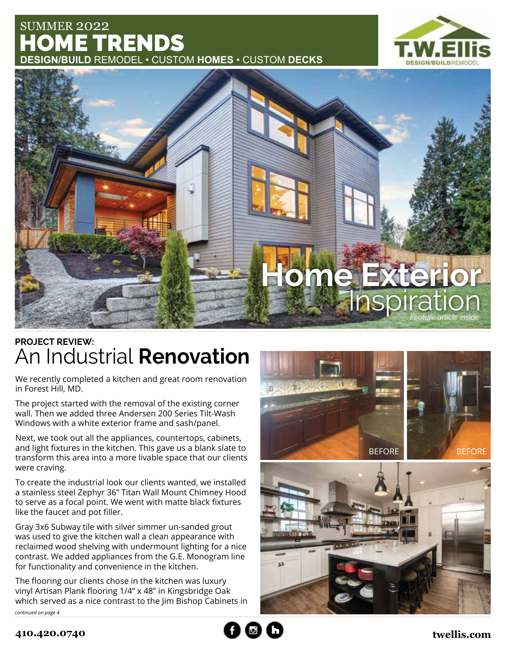## SUMMER 2022 HOME TRENDS **DESIGN/BUILD** REMODEL • CUSTOM **HOMES** • CUSTOM **DECKS**





## An Industrial **Renovation PROJECT REVIEW:**

We recently completed a kitchen and great room renovation in Forest Hill, MD.

The project started with the removal of the existing corner wall. Then we added three Andersen 200 Series Tilt-Wash Windows with a white exterior frame and sash/panel.

Next, we took out all the appliances, countertops, cabinets, and light fixtures in the kitchen. This gave us a blank slate to transform this area into a more livable space that our clients were craving.

To create the industrial look our clients wanted, we installed a stainless steel Zephyr 36" Titan Wall Mount Chimney Hood to serve as a focal point. We went with matte black fixtures like the faucet and pot filler.

Gray 3x6 Subway tile with silver simmer un-sanded grout was used to give the kitchen wall a clean appearance with reclaimed wood shelving with undermount lighting for a nice contrast. We added appliances from the G.E. Monogram line for functionality and convenience in the kitchen.

The flooring our clients chose in the kitchen was luxury vinyl Artisan Plank flooring 1/4" x 48" in Kingsbridge Oak which served as a nice contrast to the Jim Bishop Cabinets in continued on page 4



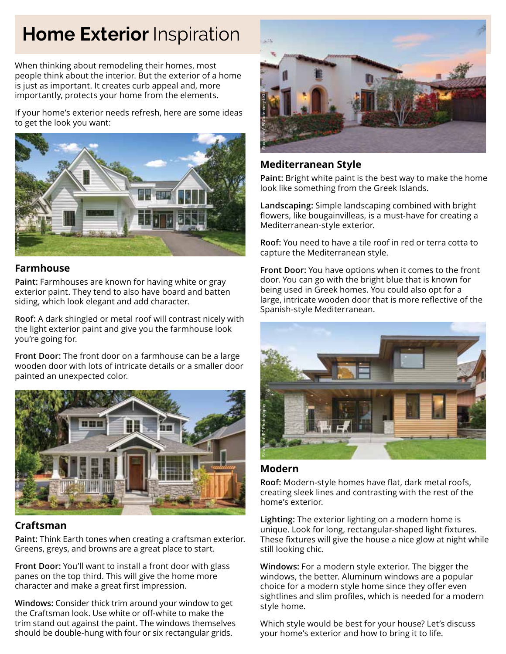# **Home Exterior Inspiration**

When thinking about remodeling their homes, most people think about the interior. But the exterior of a home is just as important. It creates curb appeal and, more importantly, protects your home from the elements.

If your home's exterior needs refresh, here are some ideas to get the look you want:



#### **Farmhouse**

**Paint:** Farmhouses are known for having white or gray exterior paint. They tend to also have board and batten siding, which look elegant and add character.

**Roof:** A dark shingled or metal roof will contrast nicely with the light exterior paint and give you the farmhouse look you're going for.

**Front Door:** The front door on a farmhouse can be a large wooden door with lots of intricate details or a smaller door painted an unexpected color.



### **Craftsman**

**Paint:** Think Earth tones when creating a craftsman exterior. Greens, greys, and browns are a great place to start.

**Front Door:** You'll want to install a front door with glass panes on the top third. This will give the home more character and make a great first impression.

**Windows:** Consider thick trim around your window to get the Craftsman look. Use white or off-white to make the trim stand out against the paint. The windows themselves should be double-hung with four or six rectangular grids.



### **Mediterranean Style**

**Paint:** Bright white paint is the best way to make the home look like something from the Greek Islands.

**Landscaping:** Simple landscaping combined with bright flowers, like bougainvilleas, is a must-have for creating a Mediterranean-style exterior.

**Roof:** You need to have a tile roof in red or terra cotta to capture the Mediterranean style.

**Front Door:** You have options when it comes to the front door. You can go with the bright blue that is known for being used in Greek homes. You could also opt for a large, intricate wooden door that is more reflective of the Spanish-style Mediterranean.



### **Modern**

**Roof:** Modern-style homes have flat, dark metal roofs, creating sleek lines and contrasting with the rest of the home's exterior.

**Lighting:** The exterior lighting on a modern home is unique. Look for long, rectangular-shaped light fixtures. These fixtures will give the house a nice glow at night while still looking chic.

**Windows:** For a modern style exterior. The bigger the windows, the better. Aluminum windows are a popular choice for a modern style home since they offer even sightlines and slim profiles, which is needed for a modern style home.

Which style would be best for your house? Let's discuss your home's exterior and how to bring it to life.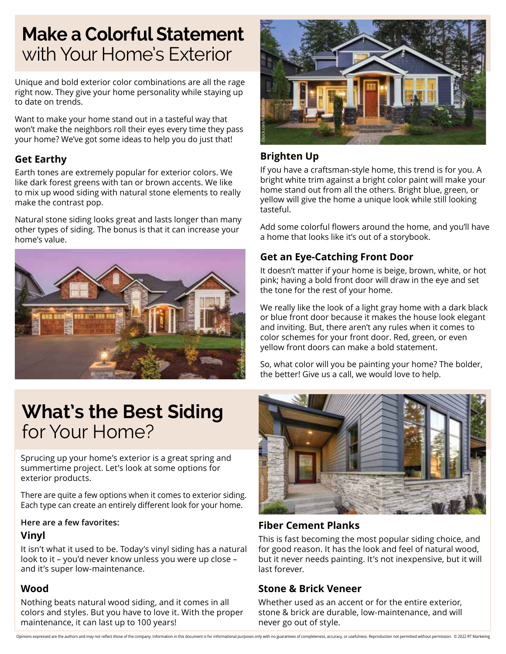# **Make a Colorful Statement** with Your Home's Exterior

Unique and bold exterior color combinations are all the rage right now. They give your home personality while staying up to date on trends.

Want to make your home stand out in a tasteful way that won't make the neighbors roll their eyes every time they pass your home? We've got some ideas to help you do just that!

## **Get Earthy**

Earth tones are extremely popular for exterior colors. We like dark forest greens with tan or brown accents. We like to mix up wood siding with natural stone elements to really make the contrast pop.

Natural stone siding looks great and lasts longer than many other types of siding. The bonus is that it can increase your home's value.





## **Brighten Up**

If you have a craftsman-style home, this trend is for you. A bright white trim against a bright color paint will make your home stand out from all the others. Bright blue, green, or yellow will give the home a unique look while still looking tasteful.

Add some colorful flowers around the home, and you'll have a home that looks like it's out of a storybook.

## **Get an Eye-Catching Front Door**

It doesn't matter if your home is beige, brown, white, or hot pink; having a bold front door will draw in the eye and set the tone for the rest of your home.

We really like the look of a light gray home with a dark black or blue front door because it makes the house look elegant and inviting. But, there aren't any rules when it comes to color schemes for your front door. Red, green, or even yellow front doors can make a bold statement.

So, what color will you be painting your home? The bolder, the better! Give us a call, we would love to help.

# **What's the Best Siding**  for Your Home?

Sprucing up your home's exterior is a great spring and summertime project. Let's look at some options for exterior products.

There are quite a few options when it comes to exterior siding. Each type can create an entirely different look for your home.

### **Here are a few favorites:**

## **Vinyl**

It isn't what it used to be. Today's vinyl siding has a natural look to it – you'd never know unless you were up close – and it's super low-maintenance.

### **Wood**

Nothing beats natural wood siding, and it comes in all colors and styles. But you have to love it. With the proper maintenance, it can last up to 100 years!



## **Fiber Cement Planks**

This is fast becoming the most popular siding choice, and for good reason. It has the look and feel of natural wood, but it never needs painting. It's not inexpensive, but it will last forever.

### **Stone & Brick Veneer**

Whether used as an accent or for the entire exterior, stone & brick are durable, low-maintenance, and will never go out of style.